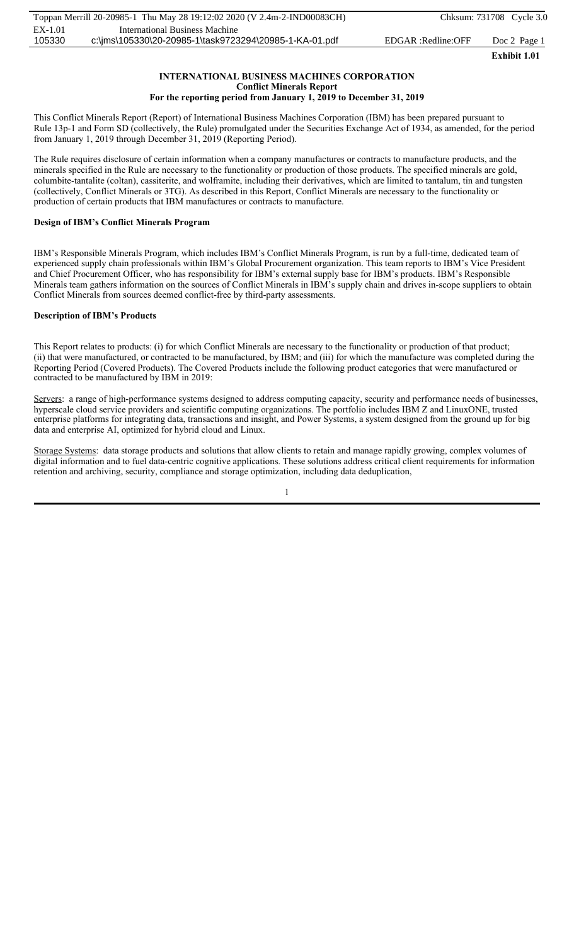#### **INTERNATIONAL BUSINESS MACHINES CORPORATION Conflict Minerals Report For the reporting period from January 1, 2019 to December 31, 2019**

This Conflict Minerals Report (Report) of International Business Machines Corporation (IBM) has been prepared pursuant to Rule 13p-1 and Form SD (collectively, the Rule) promulgated under the Securities Exchange Act of 1934, as amended, for the period from January 1, 2019 through December 31, 2019 (Reporting Period).

The Rule requires disclosure of certain information when a company manufactures or contracts to manufacture products, and the minerals specified in the Rule are necessary to the functionality or production of those products. The specified minerals are gold, columbite-tantalite (coltan), cassiterite, and wolframite, including their derivatives, which are limited to tantalum, tin and tungsten (collectively, Conflict Minerals or 3TG). As described in this Report, Conflict Minerals are necessary to the functionality or production of certain products that IBM manufactures or contracts to manufacture.

# **Design of IBM's Conflict Minerals Program**

IBM's Responsible Minerals Program, which includes IBM's Conflict Minerals Program, is run by a full-time, dedicated team of experienced supply chain professionals within IBM's Global Procurement organization. This team reports to IBM's Vice President and Chief Procurement Officer, who has responsibility for IBM's external supply base for IBM's products. IBM's Responsible Minerals team gathers information on the sources of Conflict Minerals in IBM's supply chain and drives in-scope suppliers to obtain Conflict Minerals from sources deemed conflict-free by third-party assessments.

## **Description of IBM's Products**

This Report relates to products: (i) for which Conflict Minerals are necessary to the functionality or production of that product; (ii) that were manufactured, or contracted to be manufactured, by IBM; and (iii) for which the manufacture was completed during the Reporting Period (Covered Products). The Covered Products include the following product categories that were manufactured or contracted to be manufactured by IBM in 2019:

Servers: a range of high-performance systems designed to address computing capacity, security and performance needs of businesses, hyperscale cloud service providers and scientific computing organizations. The portfolio includes IBM Z and LinuxONE, trusted enterprise platforms for integrating data, transactions and insight, and Power Systems, a system designed from the ground up for big data and enterprise AI, optimized for hybrid cloud and Linux.

Storage Systems: data storage products and solutions that allow clients to retain and manage rapidly growing, complex volumes of digital information and to fuel data-centric cognitive applications. These solutions address critical client requirements for information retention and archiving, security, compliance and storage optimization, including data deduplication,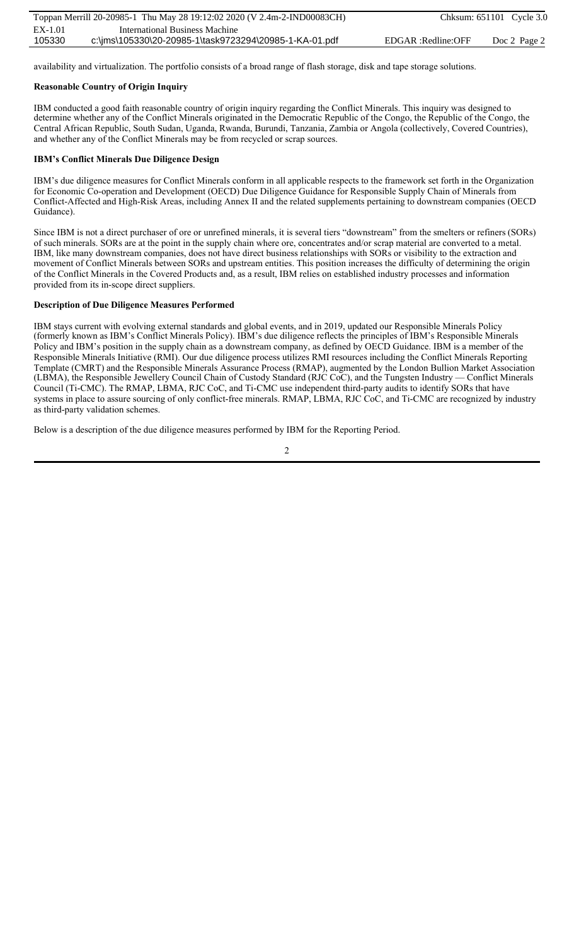availability and virtualization. The portfolio consists of a broad range of flash storage, disk and tape storage solutions.

## **Reasonable Country of Origin Inquiry**

IBM conducted a good faith reasonable country of origin inquiry regarding the Conflict Minerals. This inquiry was designed to determine whether any of the Conflict Minerals originated in the Democratic Republic of the Congo, the Republic of the Congo, the Central African Republic, South Sudan, Uganda, Rwanda, Burundi, Tanzania, Zambia or Angola (collectively, Covered Countries), and whether any of the Conflict Minerals may be from recycled or scrap sources.

## **IBM's Conflict Minerals Due Diligence Design**

IBM's due diligence measures for Conflict Minerals conform in all applicable respects to the framework set forth in the Organization for Economic Co-operation and Development (OECD) Due Diligence Guidance for Responsible Supply Chain of Minerals from Conflict-Affected and High-Risk Areas, including Annex II and the related supplements pertaining to downstream companies (OECD Guidance).

Since IBM is not a direct purchaser of ore or unrefined minerals, it is several tiers "downstream" from the smelters or refiners (SORs) of such minerals. SORs are at the point in the supply chain where ore, concentrates and/or scrap material are converted to a metal. IBM, like many downstream companies, does not have direct business relationships with SORs or visibility to the extraction and movement of Conflict Minerals between SORs and upstream entities. This position increases the difficulty of determining the origin of the Conflict Minerals in the Covered Products and, as a result, IBM relies on established industry processes and information provided from its in-scope direct suppliers.

## **Description of Due Diligence Measures Performed**

IBM stays current with evolving external standards and global events, and in 2019, updated our Responsible Minerals Policy (formerly known as IBM's Conflict Minerals Policy). IBM's due diligence reflects the principles of IBM's Responsible Minerals Policy and IBM's position in the supply chain as a downstream company, as defined by OECD Guidance. IBM is a member of the Responsible Minerals Initiative (RMI). Our due diligence process utilizes RMI resources including the Conflict Minerals Reporting Template (CMRT) and the Responsible Minerals Assurance Process (RMAP), augmented by the London Bullion Market Association (LBMA), the Responsible Jewellery Council Chain of Custody Standard (RJC CoC), and the Tungsten Industry — Conflict Minerals Council (Ti-CMC). The RMAP, LBMA, RJC CoC, and Ti-CMC use independent third-party audits to identify SORs that have systems in place to assure sourcing of only conflict-free minerals. RMAP, LBMA, RJC CoC, and Ti-CMC are recognized by industry as third-party validation schemes.

Below is a description of the due diligence measures performed by IBM for the Reporting Period.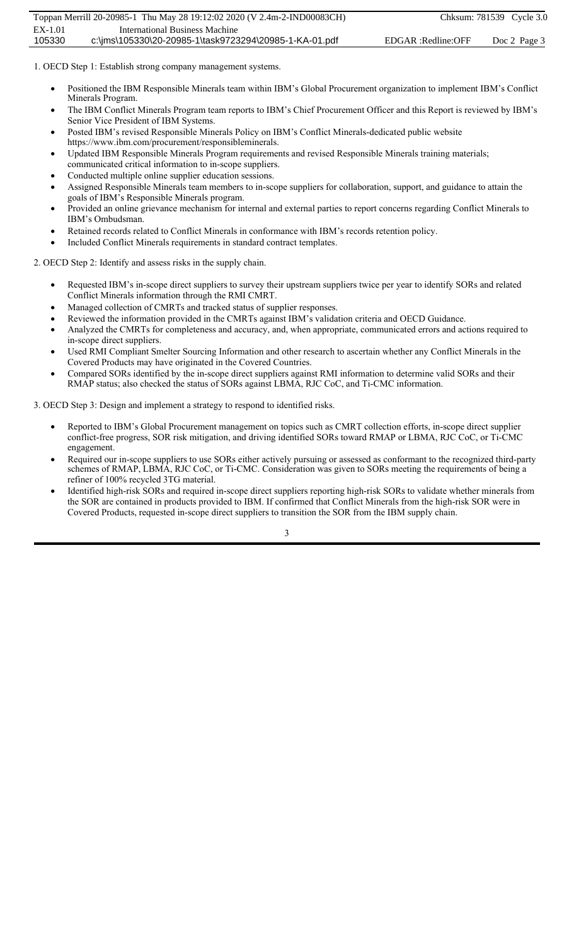1. OECD Step 1: Establish strong company management systems.

- Positioned the IBM Responsible Minerals team within IBM's Global Procurement organization to implement IBM's Conflict Minerals Program.
- x The IBM Conflict Minerals Program team reports to IBM's Chief Procurement Officer and this Report is reviewed by IBM's Senior Vice President of IBM Systems.
- Posted IBM's revised Responsible Minerals Policy on IBM's Conflict Minerals-dedicated public website https://www.ibm.com/procurement/responsibleminerals.
- Updated IBM Responsible Minerals Program requirements and revised Responsible Minerals training materials; communicated critical information to in-scope suppliers.
- Conducted multiple online supplier education sessions.
- Assigned Responsible Minerals team members to in-scope suppliers for collaboration, support, and guidance to attain the goals of IBM's Responsible Minerals program.
- x Provided an online grievance mechanism for internal and external parties to report concerns regarding Conflict Minerals to IBM's Ombudsman.
- Retained records related to Conflict Minerals in conformance with IBM's records retention policy.
- Included Conflict Minerals requirements in standard contract templates.

2. OECD Step 2: Identify and assess risks in the supply chain.

- x Requested IBM's in-scope direct suppliers to survey their upstream suppliers twice per year to identify SORs and related Conflict Minerals information through the RMI CMRT.
- Managed collection of CMRTs and tracked status of supplier responses.
- Reviewed the information provided in the CMRTs against IBM's validation criteria and OECD Guidance.
- x Analyzed the CMRTs for completeness and accuracy, and, when appropriate, communicated errors and actions required to in-scope direct suppliers.
- Used RMI Compliant Smelter Sourcing Information and other research to ascertain whether any Conflict Minerals in the Covered Products may have originated in the Covered Countries.
- Compared SORs identified by the in-scope direct suppliers against RMI information to determine valid SORs and their RMAP status; also checked the status of SORs against LBMA, RJC CoC, and Ti-CMC information.

3. OECD Step 3: Design and implement a strategy to respond to identified risks.

- Reported to IBM's Global Procurement management on topics such as CMRT collection efforts, in-scope direct supplier conflict-free progress, SOR risk mitigation, and driving identified SORs toward RMAP or LBMA, RJC CoC, or Ti-CMC engagement.
- x Required our in-scope suppliers to use SORs either actively pursuing or assessed as conformant to the recognized third-party schemes of RMAP, LBMA, RJC CoC, or Ti-CMC. Consideration was given to SORs meeting the requirements of being a refiner of 100% recycled 3TG material.
- Identified high-risk SORs and required in-scope direct suppliers reporting high-risk SORs to validate whether minerals from the SOR are contained in products provided to IBM. If confirmed that Conflict Minerals from the high-risk SOR were in Covered Products, requested in-scope direct suppliers to transition the SOR from the IBM supply chain.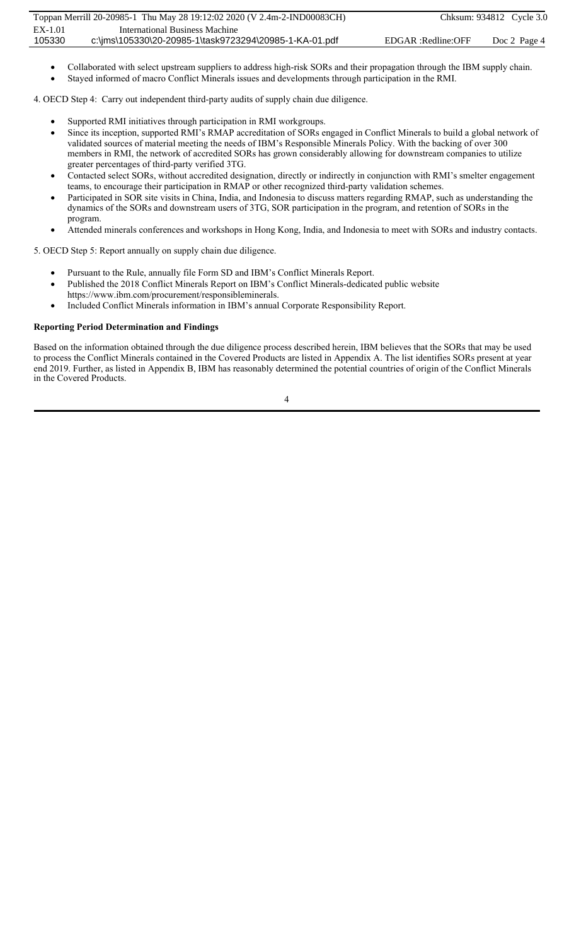- x Collaborated with select upstream suppliers to address high-risk SORs and their propagation through the IBM supply chain.
- Stayed informed of macro Conflict Minerals issues and developments through participation in the RMI.

4. OECD Step 4: Carry out independent third-party audits of supply chain due diligence.

- Supported RMI initiatives through participation in RMI workgroups.
- Since its inception, supported RMI's RMAP accreditation of SORs engaged in Conflict Minerals to build a global network of validated sources of material meeting the needs of IBM's Responsible Minerals Policy. With the backing of over 300 members in RMI, the network of accredited SORs has grown considerably allowing for downstream companies to utilize greater percentages of third-party verified 3TG.
- Contacted select SORs, without accredited designation, directly or indirectly in conjunction with RMI's smelter engagement teams, to encourage their participation in RMAP or other recognized third-party validation schemes.
- Participated in SOR site visits in China, India, and Indonesia to discuss matters regarding RMAP, such as understanding the dynamics of the SORs and downstream users of 3TG, SOR participation in the program, and retention of SORs in the program.
- x Attended minerals conferences and workshops in Hong Kong, India, and Indonesia to meet with SORs and industry contacts.

5. OECD Step 5: Report annually on supply chain due diligence.

- Pursuant to the Rule, annually file Form SD and IBM's Conflict Minerals Report.
- Published the 2018 Conflict Minerals Report on IBM's Conflict Minerals-dedicated public website https://www.ibm.com/procurement/responsibleminerals.
- Included Conflict Minerals information in IBM's annual Corporate Responsibility Report.

## **Reporting Period Determination and Findings**

Based on the information obtained through the due diligence process described herein, IBM believes that the SORs that may be used to process the Conflict Minerals contained in the Covered Products are listed in Appendix A. The list identifies SORs present at year end 2019. Further, as listed in Appendix B, IBM has reasonably determined the potential countries of origin of the Conflict Minerals in the Covered Products.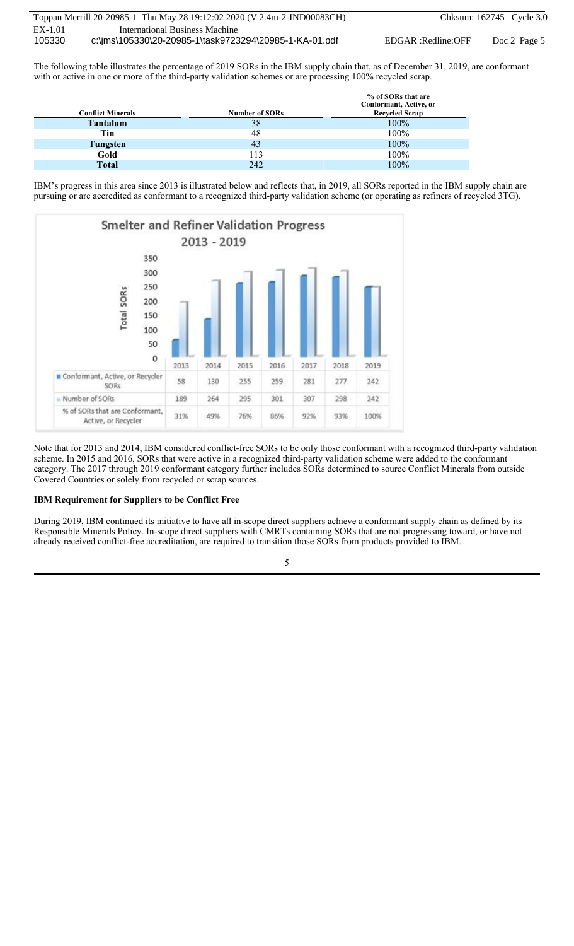The following table illustrates the percentage of 2019 SORs in the IBM supply chain that, as of December 31, 2019, are conformant with or active in one or more of the third-party validation schemes or are processing 100% recycled scrap.

| <b>Conflict Minerals</b> | <b>Number of SORs</b> | % of SORs that are<br>Conformant, Active, or<br><b>Recycled Scrap</b> |
|--------------------------|-----------------------|-----------------------------------------------------------------------|
| <b>Tantalum</b>          | 38                    | 100%                                                                  |
| Tin                      | 48                    | 100%                                                                  |
| Tungsten                 | 43                    | 100%                                                                  |
| Gold                     | 113                   | 100%                                                                  |
| <b>Total</b>             | 242                   | 100%                                                                  |

IBM's progress in this area since 2013 is illustrated below and reflects that, in 2019, all SORs reported in the IBM supply chain are pursuing or are accredited as conformant to a recognized third-party validation scheme (or operating as refiners of recycled 3TG).



Note that for 2013 and 2014, IBM considered conflict-free SORs to be only those conformant with a recognized third-party validation scheme. In 2015 and 2016, SORs that were active in a recognized third-party validation scheme were added to the conformant category. The 2017 through 2019 conformant category further includes SORs determined to source Conflict Minerals from outside Covered Countries or solely from recycled or scrap sources.

#### **IBM Requirement for Suppliers to be Conflict Free**

During 2019, IBM continued its initiative to have all in-scope direct suppliers achieve a conformant supply chain as defined by its Responsible Minerals Policy. In-scope direct suppliers with CMRTs containing SORs that are not progressing toward, or have not already received conflict-free accreditation, are required to transition those SORs from products provided to IBM.

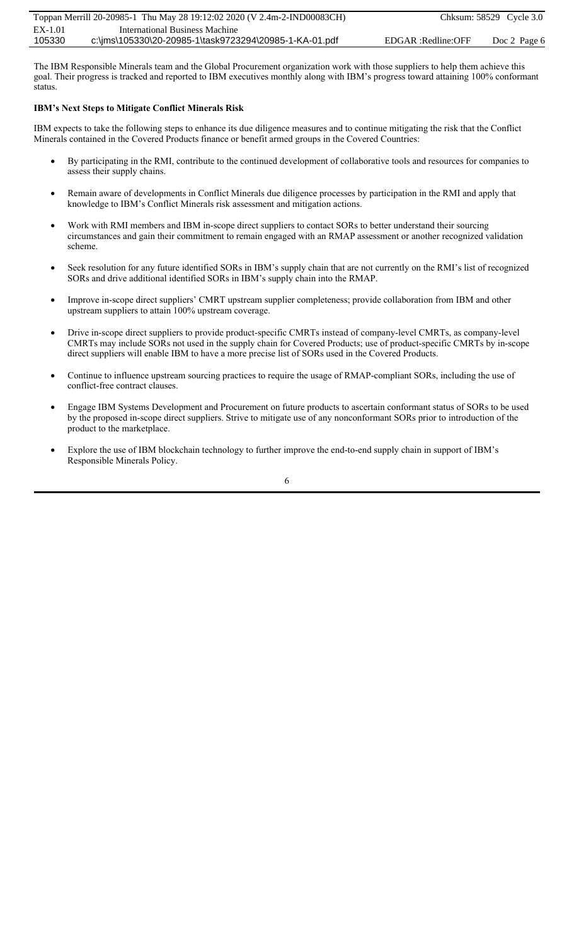The IBM Responsible Minerals team and the Global Procurement organization work with those suppliers to help them achieve this goal. Their progress is tracked and reported to IBM executives monthly along with IBM's progress toward attaining 100% conformant status.

## **IBM's Next Steps to Mitigate Conflict Minerals Risk**

IBM expects to take the following steps to enhance its due diligence measures and to continue mitigating the risk that the Conflict Minerals contained in the Covered Products finance or benefit armed groups in the Covered Countries:

- By participating in the RMI, contribute to the continued development of collaborative tools and resources for companies to assess their supply chains.
- x Remain aware of developments in Conflict Minerals due diligence processes by participation in the RMI and apply that knowledge to IBM's Conflict Minerals risk assessment and mitigation actions.
- Work with RMI members and IBM in-scope direct suppliers to contact SORs to better understand their sourcing circumstances and gain their commitment to remain engaged with an RMAP assessment or another recognized validation scheme.
- Seek resolution for any future identified SORs in IBM's supply chain that are not currently on the RMI's list of recognized SORs and drive additional identified SORs in IBM's supply chain into the RMAP.
- Improve in-scope direct suppliers' CMRT upstream supplier completeness; provide collaboration from IBM and other upstream suppliers to attain 100% upstream coverage.
- Drive in-scope direct suppliers to provide product-specific CMRTs instead of company-level CMRTs, as company-level CMRTs may include SORs not used in the supply chain for Covered Products; use of product-specific CMRTs by in-scope direct suppliers will enable IBM to have a more precise list of SORs used in the Covered Products.
- Continue to influence upstream sourcing practices to require the usage of RMAP-compliant SORs, including the use of conflict-free contract clauses.
- Engage IBM Systems Development and Procurement on future products to ascertain conformant status of SORs to be used by the proposed in-scope direct suppliers. Strive to mitigate use of any nonconformant SORs prior to introduction of the product to the marketplace.
- x Explore the use of IBM blockchain technology to further improve the end-to-end supply chain in support of IBM's Responsible Minerals Policy.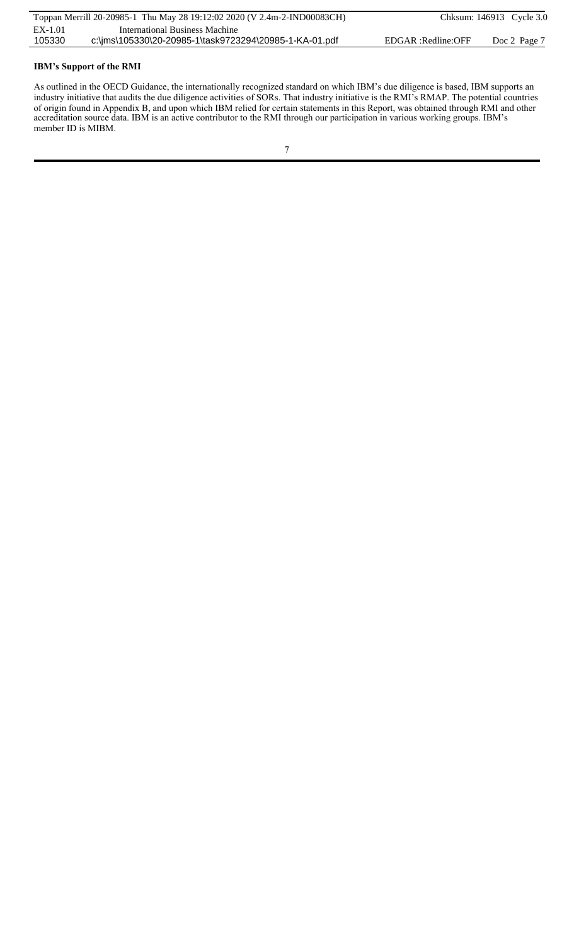## **IBM's Support of the RMI**

As outlined in the OECD Guidance, the internationally recognized standard on which IBM's due diligence is based, IBM supports an industry initiative that audits the due diligence activities of SORs. That industry initiative is the RMI's RMAP. The potential countries of origin found in Appendix B, and upon which IBM relied for certain statements in this Report, was obtained through RMI and other accreditation source data. IBM is an active contributor to the RMI through our participation in various working groups. IBM's member ID is MIBM.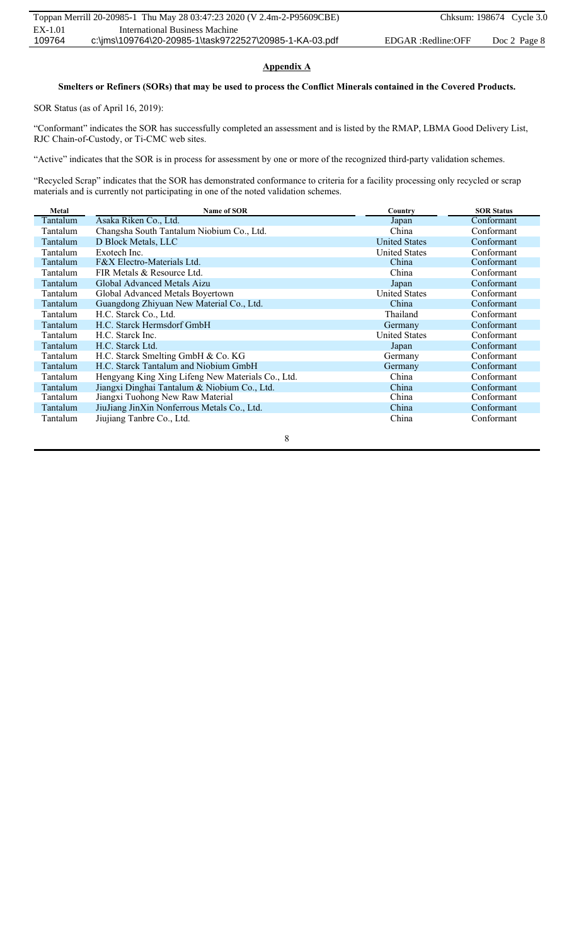## **Appendix A**

## **Smelters or Refiners (SORs) that may be used to process the Conflict Minerals contained in the Covered Products.**

SOR Status (as of April 16, 2019):

"Conformant" indicates the SOR has successfully completed an assessment and is listed by the RMAP, LBMA Good Delivery List, RJC Chain-of-Custody, or Ti-CMC web sites.

"Active" indicates that the SOR is in process for assessment by one or more of the recognized third-party validation schemes.

"Recycled Scrap" indicates that the SOR has demonstrated conformance to criteria for a facility processing only recycled or scrap materials and is currently not participating in one of the noted validation schemes.

| Metal    | Name of SOR                                       | Country              | <b>SOR Status</b> |
|----------|---------------------------------------------------|----------------------|-------------------|
| Tantalum | Asaka Riken Co., Ltd.                             | Japan                | Conformant        |
| Tantalum | Changsha South Tantalum Niobium Co., Ltd.         | China                | Conformant        |
| Tantalum | D Block Metals, LLC                               | <b>United States</b> | Conformant        |
| Tantalum | Exotech Inc.                                      | <b>United States</b> | Conformant        |
| Tantalum | F&X Electro-Materials Ltd.                        | China                | Conformant        |
| Tantalum | FIR Metals & Resource Ltd.                        | China                | Conformant        |
| Tantalum | Global Advanced Metals Aizu                       | Japan                | Conformant        |
| Tantalum | Global Advanced Metals Boyertown                  | <b>United States</b> | Conformant        |
| Tantalum | Guangdong Zhiyuan New Material Co., Ltd.          | China                | Conformant        |
| Tantalum | H.C. Starck Co., Ltd.                             | Thailand             | Conformant        |
| Tantalum | H.C. Starck Hermsdorf GmbH                        | Germany              | Conformant        |
| Tantalum | H.C. Starck Inc.                                  | <b>United States</b> | Conformant        |
| Tantalum | H.C. Starck Ltd.                                  | Japan                | Conformant        |
| Tantalum | H.C. Starck Smelting GmbH & Co. KG                | Germany              | Conformant        |
| Tantalum | H.C. Starck Tantalum and Niobium GmbH             | Germany              | Conformant        |
| Tantalum | Hengyang King Xing Lifeng New Materials Co., Ltd. | China                | Conformant        |
| Tantalum | Jiangxi Dinghai Tantalum & Niobium Co., Ltd.      | China                | Conformant        |
| Tantalum | Jiangxi Tuohong New Raw Material                  | China                | Conformant        |
| Tantalum | JiuJiang JinXin Nonferrous Metals Co., Ltd.       | China                | Conformant        |
| Tantalum | Jiujiang Tanbre Co., Ltd.                         | China                | Conformant        |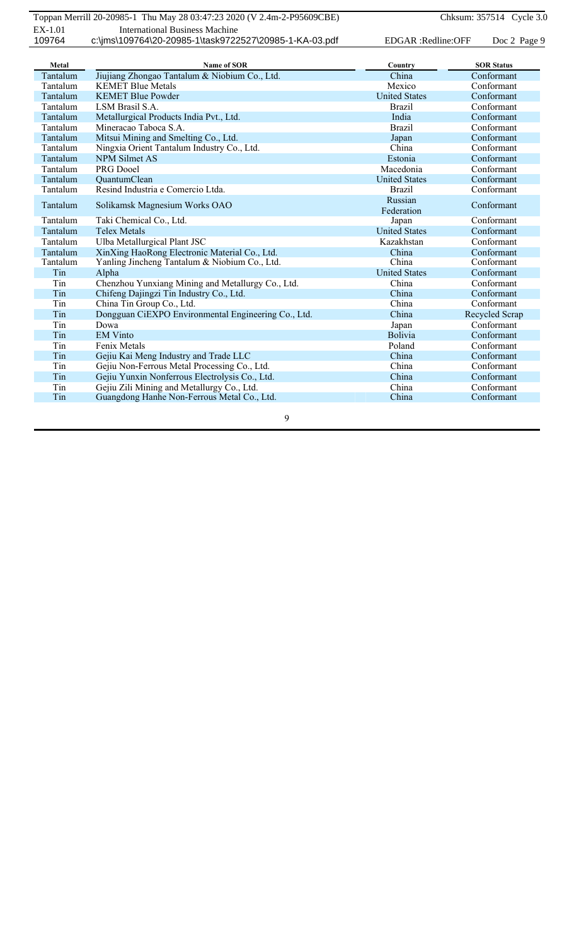| Metal    | <b>Name of SOR</b>                                  | Country              | <b>SOR Status</b> |
|----------|-----------------------------------------------------|----------------------|-------------------|
| Tantalum | Jiujiang Zhongao Tantalum & Niobium Co., Ltd.       | China                | Conformant        |
| Tantalum | <b>KEMET Blue Metals</b>                            | Mexico               | Conformant        |
| Tantalum | <b>KEMET Blue Powder</b>                            | <b>United States</b> | Conformant        |
| Tantalum | LSM Brasil S.A.                                     | <b>Brazil</b>        | Conformant        |
| Tantalum | Metallurgical Products India Pvt., Ltd.             | India                | Conformant        |
| Tantalum | Mineracao Taboca S.A.                               | <b>Brazil</b>        | Conformant        |
| Tantalum | Mitsui Mining and Smelting Co., Ltd.                | Japan                | Conformant        |
| Tantalum | Ningxia Orient Tantalum Industry Co., Ltd.          | China                | Conformant        |
| Tantalum | <b>NPM Silmet AS</b>                                | Estonia              | Conformant        |
| Tantalum | PRG Dooel                                           | Macedonia            | Conformant        |
| Tantalum | QuantumClean                                        | <b>United States</b> | Conformant        |
| Tantalum | Resind Industria e Comercio Ltda.                   | <b>Brazil</b>        | Conformant        |
| Tantalum | Solikamsk Magnesium Works OAO                       | Russian              | Conformant        |
|          |                                                     | Federation           | Conformant        |
| Tantalum | Taki Chemical Co., Ltd.                             | Japan                |                   |
| Tantalum | <b>Telex Metals</b>                                 | <b>United States</b> | Conformant        |
| Tantalum | Ulba Metallurgical Plant JSC                        | Kazakhstan           | Conformant        |
| Tantalum | XinXing HaoRong Electronic Material Co., Ltd.       | China                | Conformant        |
| Tantalum | Yanling Jincheng Tantalum & Niobium Co., Ltd.       | China                | Conformant        |
| Tin      | Alpha                                               | <b>United States</b> | Conformant        |
| Tin      | Chenzhou Yunxiang Mining and Metallurgy Co., Ltd.   | China                | Conformant        |
| Tin      | Chifeng Dajingzi Tin Industry Co., Ltd.             | China                | Conformant        |
| Tin      | China Tin Group Co., Ltd.                           | China                | Conformant        |
| Tin      | Dongguan CiEXPO Environmental Engineering Co., Ltd. | China                | Recycled Scrap    |
| Tin      | Dowa                                                | Japan                | Conformant        |
| Tin      | <b>EM Vinto</b>                                     | Bolivia              | Conformant        |
| Tin      | Fenix Metals                                        | Poland               | Conformant        |
| Tin      | Gejiu Kai Meng Industry and Trade LLC               | China                | Conformant        |
| Tin      | Gejiu Non-Ferrous Metal Processing Co., Ltd.        | China                | Conformant        |
| Tin      | Gejiu Yunxin Nonferrous Electrolysis Co., Ltd.      | China                | Conformant        |
| Tin      | Gejiu Zili Mining and Metallurgy Co., Ltd.          | China                | Conformant        |
| Tin      | Guangdong Hanhe Non-Ferrous Metal Co., Ltd.         | China                | Conformant        |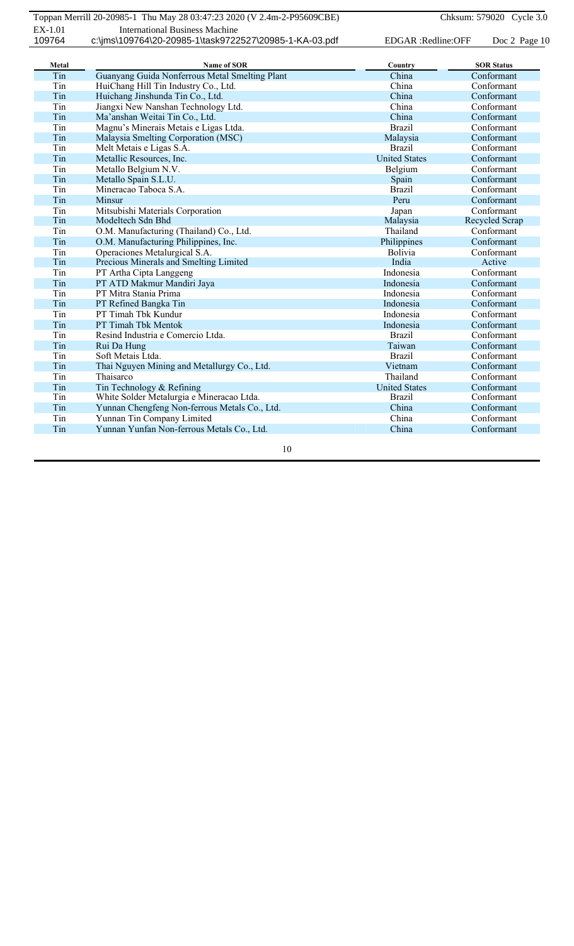| Metal | <b>Name of SOR</b>                             | Country              | <b>SOR Status</b> |
|-------|------------------------------------------------|----------------------|-------------------|
| Tin   | Guanyang Guida Nonferrous Metal Smelting Plant | China                | Conformant        |
| Tin   | HuiChang Hill Tin Industry Co., Ltd.           | China                | Conformant        |
| Tin   | Huichang Jinshunda Tin Co., Ltd.               | China                | Conformant        |
| Tin   | Jiangxi New Nanshan Technology Ltd.            | China                | Conformant        |
| Tin   | Ma'anshan Weitai Tin Co., Ltd.                 | China                | Conformant        |
| Tin   | Magnu's Minerais Metais e Ligas Ltda.          | <b>Brazil</b>        | Conformant        |
| Tin   | Malaysia Smelting Corporation (MSC)            | Malaysia             | Conformant        |
| Tin   | Melt Metais e Ligas S.A.                       | <b>Brazil</b>        | Conformant        |
| Tin   | Metallic Resources, Inc.                       | <b>United States</b> | Conformant        |
| Tin   | Metallo Belgium N.V.                           | Belgium              | Conformant        |
| Tin   | Metallo Spain S.L.U.                           | Spain                | Conformant        |
| Tin   | Mineracao Taboca S.A.                          | <b>Brazil</b>        | Conformant        |
| Tin   | Minsur                                         | Peru                 | Conformant        |
| Tin   | Mitsubishi Materials Corporation               | Japan                | Conformant        |
| Tin   | Modeltech Sdn Bhd                              | Malaysia             | Recycled Scrap    |
| Tin   | O.M. Manufacturing (Thailand) Co., Ltd.        | Thailand             | Conformant        |
| Tin   | O.M. Manufacturing Philippines, Inc.           | Philippines          | Conformant        |
| Tin   | Operaciones Metalurgical S.A.                  | Bolivia              | Conformant        |
| Tin   | Precious Minerals and Smelting Limited         | India                | Active            |
| Tin   | PT Artha Cipta Langgeng                        | Indonesia            | Conformant        |
| Tin   | PT ATD Makmur Mandiri Jaya                     | Indonesia            | Conformant        |
| Tin   | PT Mitra Stania Prima                          | Indonesia            | Conformant        |
| Tin   | PT Refined Bangka Tin                          | Indonesia            | Conformant        |
| Tin   | PT Timah Tbk Kundur                            | Indonesia            | Conformant        |
| Tin   | PT Timah Tbk Mentok                            | Indonesia            | Conformant        |
| Tin   | Resind Industria e Comercio Ltda.              | <b>Brazil</b>        | Conformant        |
| Tin   | Rui Da Hung                                    | Taiwan               | Conformant        |
| Tin   | Soft Metais Ltda.                              | <b>Brazil</b>        | Conformant        |
| Tin   | Thai Nguyen Mining and Metallurgy Co., Ltd.    | Vietnam              | Conformant        |
| Tin   | Thaisarco                                      | Thailand             | Conformant        |
| Tin   | Tin Technology & Refining                      | <b>United States</b> | Conformant        |
| Tin   | White Solder Metalurgia e Mineracao Ltda.      | <b>Brazil</b>        | Conformant        |
| Tin   | Yunnan Chengfeng Non-ferrous Metals Co., Ltd.  | China                | Conformant        |
| Tin   | Yunnan Tin Company Limited                     | China                | Conformant        |
| Tin   | Yunnan Yunfan Non-ferrous Metals Co., Ltd.     | China                | Conformant        |
|       |                                                |                      |                   |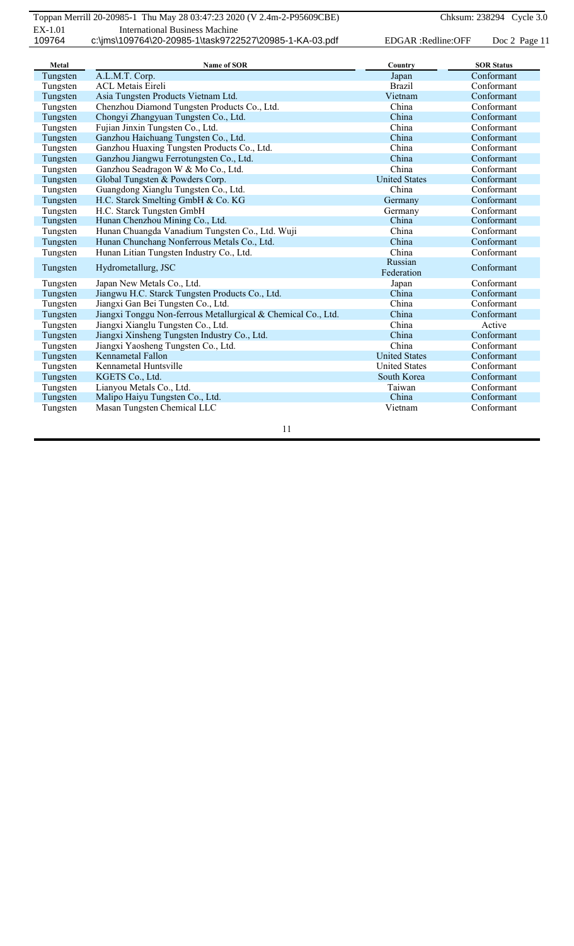| Metal    | <b>Name of SOR</b>                                            | Country              | <b>SOR Status</b> |
|----------|---------------------------------------------------------------|----------------------|-------------------|
| Tungsten | A.L.M.T. Corp.                                                | Japan                | Conformant        |
| Tungsten | <b>ACL Metais Eireli</b>                                      | <b>Brazil</b>        | Conformant        |
| Tungsten | Asia Tungsten Products Vietnam Ltd.                           | Vietnam              | Conformant        |
| Tungsten | Chenzhou Diamond Tungsten Products Co., Ltd.                  | China                | Conformant        |
| Tungsten | Chongyi Zhangyuan Tungsten Co., Ltd.                          | China                | Conformant        |
| Tungsten | Fujian Jinxin Tungsten Co., Ltd.                              | China                | Conformant        |
| Tungsten | Ganzhou Haichuang Tungsten Co., Ltd.                          | China                | Conformant        |
| Tungsten | Ganzhou Huaxing Tungsten Products Co., Ltd.                   | China                | Conformant        |
| Tungsten | Ganzhou Jiangwu Ferrotungsten Co., Ltd.                       | China                | Conformant        |
| Tungsten | Ganzhou Seadragon W & Mo Co., Ltd.                            | China                | Conformant        |
| Tungsten | Global Tungsten & Powders Corp.                               | <b>United States</b> | Conformant        |
| Tungsten | Guangdong Xianglu Tungsten Co., Ltd.                          | China                | Conformant        |
| Tungsten | H.C. Starck Smelting GmbH & Co. KG                            | Germany              | Conformant        |
| Tungsten | H.C. Starck Tungsten GmbH                                     | Germany              | Conformant        |
| Tungsten | Hunan Chenzhou Mining Co., Ltd.                               | China                | Conformant        |
| Tungsten | Hunan Chuangda Vanadium Tungsten Co., Ltd. Wuji               | China                | Conformant        |
| Tungsten | Hunan Chunchang Nonferrous Metals Co., Ltd.                   | China                | Conformant        |
| Tungsten | Hunan Litian Tungsten Industry Co., Ltd.                      | China                | Conformant        |
| Tungsten | Hydrometallurg, JSC                                           | Russian              | Conformant        |
|          |                                                               | Federation           |                   |
| Tungsten | Japan New Metals Co., Ltd.                                    | Japan                | Conformant        |
| Tungsten | Jiangwu H.C. Starck Tungsten Products Co., Ltd.               | China                | Conformant        |
| Tungsten | Jiangxi Gan Bei Tungsten Co., Ltd.                            | China                | Conformant        |
| Tungsten | Jiangxi Tonggu Non-ferrous Metallurgical & Chemical Co., Ltd. | China                | Conformant        |
| Tungsten | Jiangxi Xianglu Tungsten Co., Ltd.                            | China                | Active            |
| Tungsten | Jiangxi Xinsheng Tungsten Industry Co., Ltd.                  | China                | Conformant        |
| Tungsten | Jiangxi Yaosheng Tungsten Co., Ltd.                           | China                | Conformant        |
| Tungsten | Kennametal Fallon                                             | <b>United States</b> | Conformant        |
| Tungsten | Kennametal Huntsville                                         | <b>United States</b> | Conformant        |
| Tungsten | KGETS Co., Ltd.                                               | South Korea          | Conformant        |
| Tungsten | Lianyou Metals Co., Ltd.                                      | Taiwan               | Conformant        |
| Tungsten | Malipo Haiyu Tungsten Co., Ltd.                               | China                | Conformant        |
| Tungsten | Masan Tungsten Chemical LLC                                   | Vietnam              | Conformant        |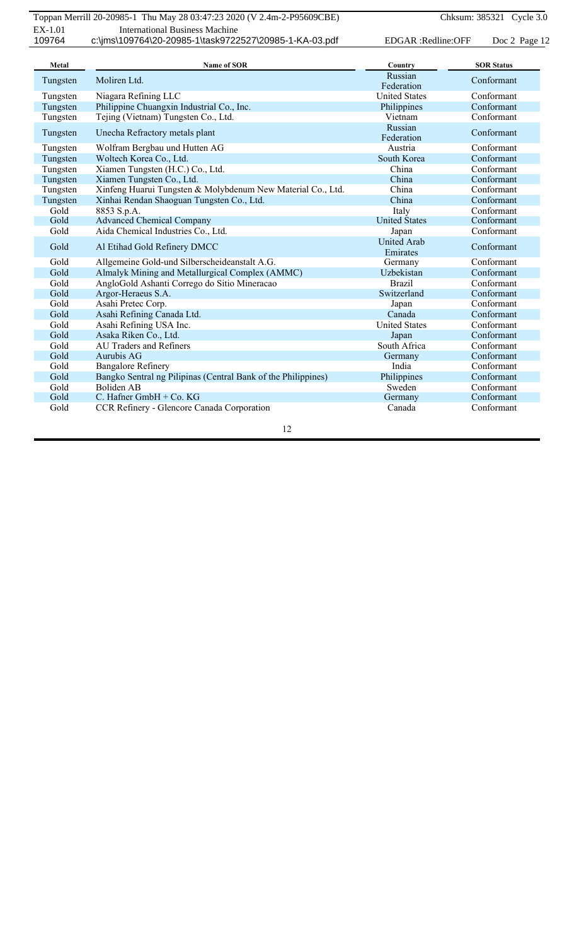| Metal    | <b>Name of SOR</b>                                            | Country                        | <b>SOR Status</b> |
|----------|---------------------------------------------------------------|--------------------------------|-------------------|
| Tungsten | Moliren Ltd.                                                  | Russian                        | Conformant        |
|          |                                                               | Federation                     |                   |
| Tungsten | Niagara Refining LLC                                          | <b>United States</b>           | Conformant        |
| Tungsten | Philippine Chuangxin Industrial Co., Inc.                     | Philippines                    | Conformant        |
| Tungsten | Tejing (Vietnam) Tungsten Co., Ltd.                           | Vietnam                        | Conformant        |
| Tungsten | Unecha Refractory metals plant                                | Russian<br>Federation          | Conformant        |
| Tungsten | Wolfram Bergbau und Hutten AG                                 | Austria                        | Conformant        |
| Tungsten | Woltech Korea Co., Ltd.                                       | South Korea                    | Conformant        |
| Tungsten | Xiamen Tungsten (H.C.) Co., Ltd.                              | China                          | Conformant        |
| Tungsten | Xiamen Tungsten Co., Ltd.                                     | China                          | Conformant        |
| Tungsten | Xinfeng Huarui Tungsten & Molybdenum New Material Co., Ltd.   | China                          | Conformant        |
| Tungsten | Xinhai Rendan Shaoguan Tungsten Co., Ltd.                     | China                          | Conformant        |
| Gold     | 8853 S.p.A.                                                   | Italy                          | Conformant        |
| Gold     | <b>Advanced Chemical Company</b>                              | <b>United States</b>           | Conformant        |
| Gold     | Aida Chemical Industries Co., Ltd.                            | Japan                          | Conformant        |
| Gold     | Al Etihad Gold Refinery DMCC                                  | <b>United Arab</b><br>Emirates | Conformant        |
| Gold     | Allgemeine Gold-und Silberscheideanstalt A.G.                 | Germany                        | Conformant        |
| Gold     | Almalyk Mining and Metallurgical Complex (AMMC)               | Uzbekistan                     | Conformant        |
| Gold     | AngloGold Ashanti Corrego do Sitio Mineracao                  | <b>Brazil</b>                  | Conformant        |
| Gold     | Argor-Heraeus S.A.                                            | Switzerland                    | Conformant        |
| Gold     | Asahi Pretec Corp.                                            | Japan                          | Conformant        |
| Gold     | Asahi Refining Canada Ltd.                                    | Canada                         | Conformant        |
| Gold     | Asahi Refining USA Inc.                                       | <b>United States</b>           | Conformant        |
| Gold     | Asaka Riken Co., Ltd.                                         | Japan                          | Conformant        |
| Gold     | <b>AU Traders and Refiners</b>                                | South Africa                   | Conformant        |
| Gold     | Aurubis AG                                                    | Germany                        | Conformant        |
| Gold     | <b>Bangalore Refinery</b>                                     | India                          | Conformant        |
| Gold     | Bangko Sentral ng Pilipinas (Central Bank of the Philippines) | Philippines                    | Conformant        |
| Gold     | <b>Boliden AB</b>                                             | Sweden                         | Conformant        |
| Gold     | C. Hafner GmbH $+$ Co. KG                                     | Germany                        | Conformant        |
| Gold     | CCR Refinery - Glencore Canada Corporation                    | Canada                         | Conformant        |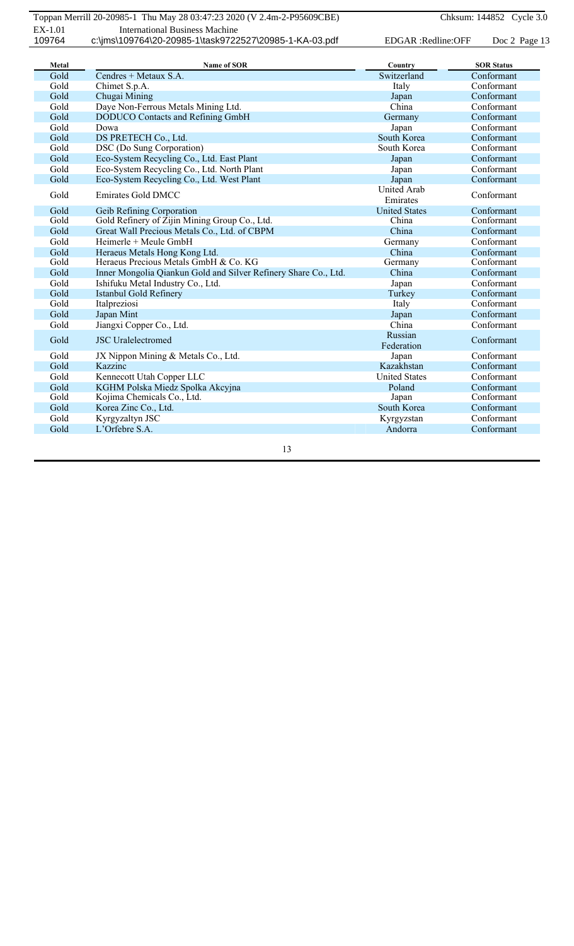| Metal | Name of SOR                                                     | Country              | <b>SOR Status</b> |
|-------|-----------------------------------------------------------------|----------------------|-------------------|
| Gold  | Cendres + Metaux S.A.                                           | Switzerland          | Conformant        |
| Gold  | Chimet S.p.A.                                                   | Italy                | Conformant        |
| Gold  | Chugai Mining                                                   | Japan                | Conformant        |
| Gold  | Daye Non-Ferrous Metals Mining Ltd.                             | China                | Conformant        |
| Gold  | DODUCO Contacts and Refining GmbH                               | Germany              | Conformant        |
| Gold  | Dowa                                                            | Japan                | Conformant        |
| Gold  | DS PRETECH Co., Ltd.                                            | South Korea          | Conformant        |
| Gold  | DSC (Do Sung Corporation)                                       | South Korea          | Conformant        |
| Gold  | Eco-System Recycling Co., Ltd. East Plant                       | Japan                | Conformant        |
| Gold  | Eco-System Recycling Co., Ltd. North Plant                      | Japan                | Conformant        |
| Gold  | Eco-System Recycling Co., Ltd. West Plant                       | Japan                | Conformant        |
| Gold  | <b>Emirates Gold DMCC</b>                                       | United Arab          | Conformant        |
|       |                                                                 | Emirates             |                   |
| Gold  | Geib Refining Corporation                                       | <b>United States</b> | Conformant        |
| Gold  | Gold Refinery of Zijin Mining Group Co., Ltd.                   | China                | Conformant        |
| Gold  | Great Wall Precious Metals Co., Ltd. of CBPM                    | China                | Conformant        |
| Gold  | Heimerle $+$ Meule GmbH                                         | Germany              | Conformant        |
| Gold  | Heraeus Metals Hong Kong Ltd.                                   | China                | Conformant        |
| Gold  | Heraeus Precious Metals GmbH & Co. KG                           | Germany              | Conformant        |
| Gold  | Inner Mongolia Qiankun Gold and Silver Refinery Share Co., Ltd. | China                | Conformant        |
| Gold  | Ishifuku Metal Industry Co., Ltd.                               | Japan                | Conformant        |
| Gold  | <b>Istanbul Gold Refinery</b>                                   | Turkey               | Conformant        |
| Gold  | Italpreziosi                                                    | Italy                | Conformant        |
| Gold  | Japan Mint                                                      | Japan                | Conformant        |
| Gold  | Jiangxi Copper Co., Ltd.                                        | China                | Conformant        |
| Gold  | <b>JSC</b> Uralelectromed                                       | Russian              | Conformant        |
|       |                                                                 | Federation           |                   |
| Gold  | JX Nippon Mining & Metals Co., Ltd.                             | Japan                | Conformant        |
| Gold  | Kazzinc                                                         | Kazakhstan           | Conformant        |
| Gold  | Kennecott Utah Copper LLC                                       | <b>United States</b> | Conformant        |
| Gold  | KGHM Polska Miedz Spolka Akcyjna                                | Poland               | Conformant        |
| Gold  | Kojima Chemicals Co., Ltd.                                      | Japan                | Conformant        |
| Gold  | Korea Zinc Co., Ltd.                                            | South Korea          | Conformant        |
| Gold  | Kyrgyzaltyn JSC                                                 | Kyrgyzstan           | Conformant        |
| Gold  | L'Orfebre S.A.                                                  | Andorra              | Conformant        |
|       |                                                                 |                      |                   |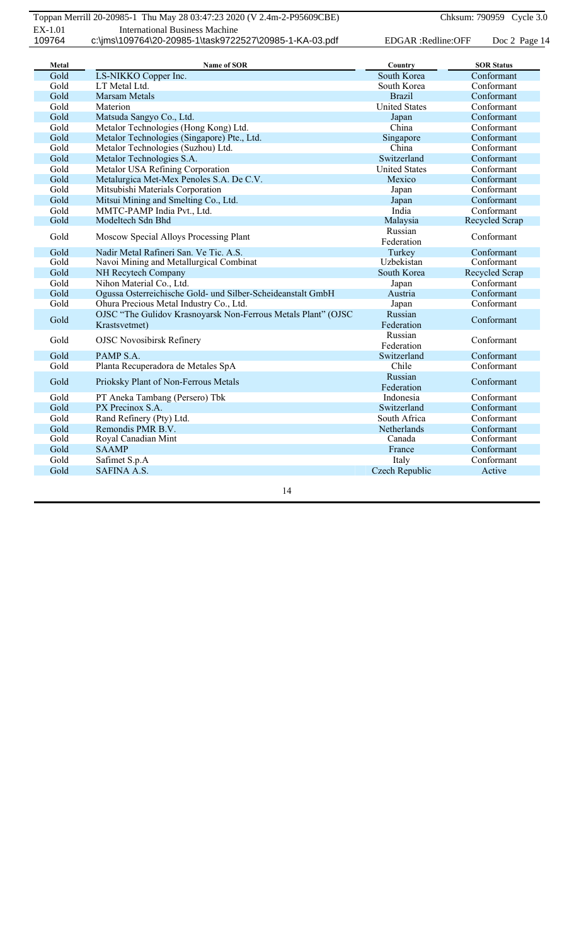| Metal | Name of SOR                                                                    | Country               | <b>SOR Status</b> |
|-------|--------------------------------------------------------------------------------|-----------------------|-------------------|
| Gold  | LS-NIKKO Copper Inc.                                                           | South Korea           | Conformant        |
| Gold  | LT Metal Ltd.                                                                  | South Korea           | Conformant        |
| Gold  | <b>Marsam Metals</b>                                                           | <b>Brazil</b>         | Conformant        |
| Gold  | Materion                                                                       | <b>United States</b>  | Conformant        |
| Gold  | Matsuda Sangyo Co., Ltd.                                                       | Japan                 | Conformant        |
| Gold  | Metalor Technologies (Hong Kong) Ltd.                                          | China                 | Conformant        |
| Gold  | Metalor Technologies (Singapore) Pte., Ltd.                                    | Singapore             | Conformant        |
| Gold  | Metalor Technologies (Suzhou) Ltd.                                             | China                 | Conformant        |
| Gold  | Metalor Technologies S.A.                                                      | Switzerland           | Conformant        |
| Gold  | Metalor USA Refining Corporation                                               | <b>United States</b>  | Conformant        |
| Gold  | Metalurgica Met-Mex Penoles S.A. De C.V.                                       | Mexico                | Conformant        |
| Gold  | Mitsubishi Materials Corporation                                               | Japan                 | Conformant        |
| Gold  | Mitsui Mining and Smelting Co., Ltd.                                           | Japan                 | Conformant        |
| Gold  | MMTC-PAMP India Pvt., Ltd.                                                     | India                 | Conformant        |
| Gold  | Modeltech Sdn Bhd                                                              | Malaysia              | Recycled Scrap    |
| Gold  | Moscow Special Alloys Processing Plant                                         | Russian               | Conformant        |
|       |                                                                                | Federation            |                   |
| Gold  | Nadir Metal Rafineri San. Ve Tic. A.S.                                         | Turkey                | Conformant        |
| Gold  | Navoi Mining and Metallurgical Combinat                                        | Uzbekistan            | Conformant        |
| Gold  | NH Recytech Company                                                            | South Korea           | Recycled Scrap    |
| Gold  | Nihon Material Co., Ltd.                                                       | Japan                 | Conformant        |
| Gold  | Ogussa Osterreichische Gold- und Silber-Scheideanstalt GmbH                    | Austria               | Conformant        |
| Gold  | Ohura Precious Metal Industry Co., Ltd.                                        | Japan                 | Conformant        |
| Gold  | OJSC "The Gulidov Krasnoyarsk Non-Ferrous Metals Plant" (OJSC<br>Krastsvetmet) | Russian<br>Federation | Conformant        |
| Gold  | <b>OJSC Novosibirsk Refinery</b>                                               | Russian<br>Federation | Conformant        |
| Gold  | PAMP S.A.                                                                      | Switzerland           | Conformant        |
| Gold  | Planta Recuperadora de Metales SpA                                             | Chile                 | Conformant        |
| Gold  | Prioksky Plant of Non-Ferrous Metals                                           | Russian<br>Federation | Conformant        |
| Gold  | PT Aneka Tambang (Persero) Tbk                                                 | Indonesia             | Conformant        |
| Gold  | PX Precinox S.A.                                                               | Switzerland           | Conformant        |
| Gold  | Rand Refinery (Pty) Ltd.                                                       | South Africa          | Conformant        |
| Gold  | Remondis PMR B.V.                                                              | Netherlands           | Conformant        |
| Gold  | Royal Canadian Mint                                                            | Canada                | Conformant        |
| Gold  | <b>SAAMP</b>                                                                   | France                | Conformant        |
| Gold  | Safimet S.p.A                                                                  | Italy                 | Conformant        |
| Gold  | <b>SAFINA A.S.</b>                                                             | Czech Republic        | Active            |
|       |                                                                                |                       |                   |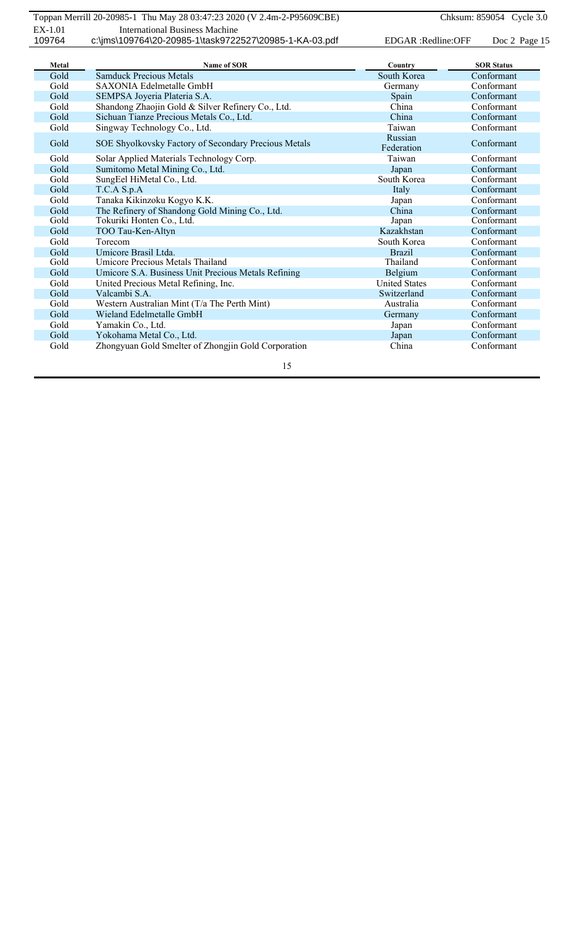| Metal | <b>Name of SOR</b>                                   | Country               | <b>SOR Status</b> |
|-------|------------------------------------------------------|-----------------------|-------------------|
| Gold  | <b>Samduck Precious Metals</b>                       | South Korea           | Conformant        |
| Gold  | SAXONIA Edelmetalle GmbH                             | Germany               | Conformant        |
| Gold  | SEMPSA Joyeria Plateria S.A.                         | Spain                 | Conformant        |
| Gold  | Shandong Zhaojin Gold & Silver Refinery Co., Ltd.    | China                 | Conformant        |
| Gold  | Sichuan Tianze Precious Metals Co., Ltd.             | China                 | Conformant        |
| Gold  | Singway Technology Co., Ltd.                         | Taiwan                | Conformant        |
| Gold  | SOE Shyolkovsky Factory of Secondary Precious Metals | Russian<br>Federation | Conformant        |
| Gold  | Solar Applied Materials Technology Corp.             | Taiwan                | Conformant        |
| Gold  | Sumitomo Metal Mining Co., Ltd.                      | Japan                 | Conformant        |
| Gold  | SungEel HiMetal Co., Ltd.                            | South Korea           | Conformant        |
| Gold  | T.C.A S.p.A                                          | Italy                 | Conformant        |
| Gold  | Tanaka Kikinzoku Kogyo K.K.                          | Japan                 | Conformant        |
| Gold  | The Refinery of Shandong Gold Mining Co., Ltd.       | China                 | Conformant        |
| Gold  | Tokuriki Honten Co., Ltd.                            | Japan                 | Conformant        |
| Gold  | TOO Tau-Ken-Altyn                                    | Kazakhstan            | Conformant        |
| Gold  | Torecom                                              | South Korea           | Conformant        |
| Gold  | Umicore Brasil Ltda.                                 | <b>Brazil</b>         | Conformant        |
| Gold  | Umicore Precious Metals Thailand                     | Thailand              | Conformant        |
| Gold  | Umicore S.A. Business Unit Precious Metals Refining  | Belgium               | Conformant        |
| Gold  | United Precious Metal Refining, Inc.                 | <b>United States</b>  | Conformant        |
| Gold  | Valcambi S A                                         | Switzerland           | Conformant        |
| Gold  | Western Australian Mint (T/a The Perth Mint)         | Australia             | Conformant        |
| Gold  | Wieland Edelmetalle GmbH                             | Germany               | Conformant        |
| Gold  | Yamakin Co., Ltd.                                    | Japan                 | Conformant        |
| Gold  | Yokohama Metal Co., Ltd.                             | Japan                 | Conformant        |
| Gold  | Zhongyuan Gold Smelter of Zhongjin Gold Corporation  | China                 | Conformant        |
|       | 15                                                   |                       |                   |